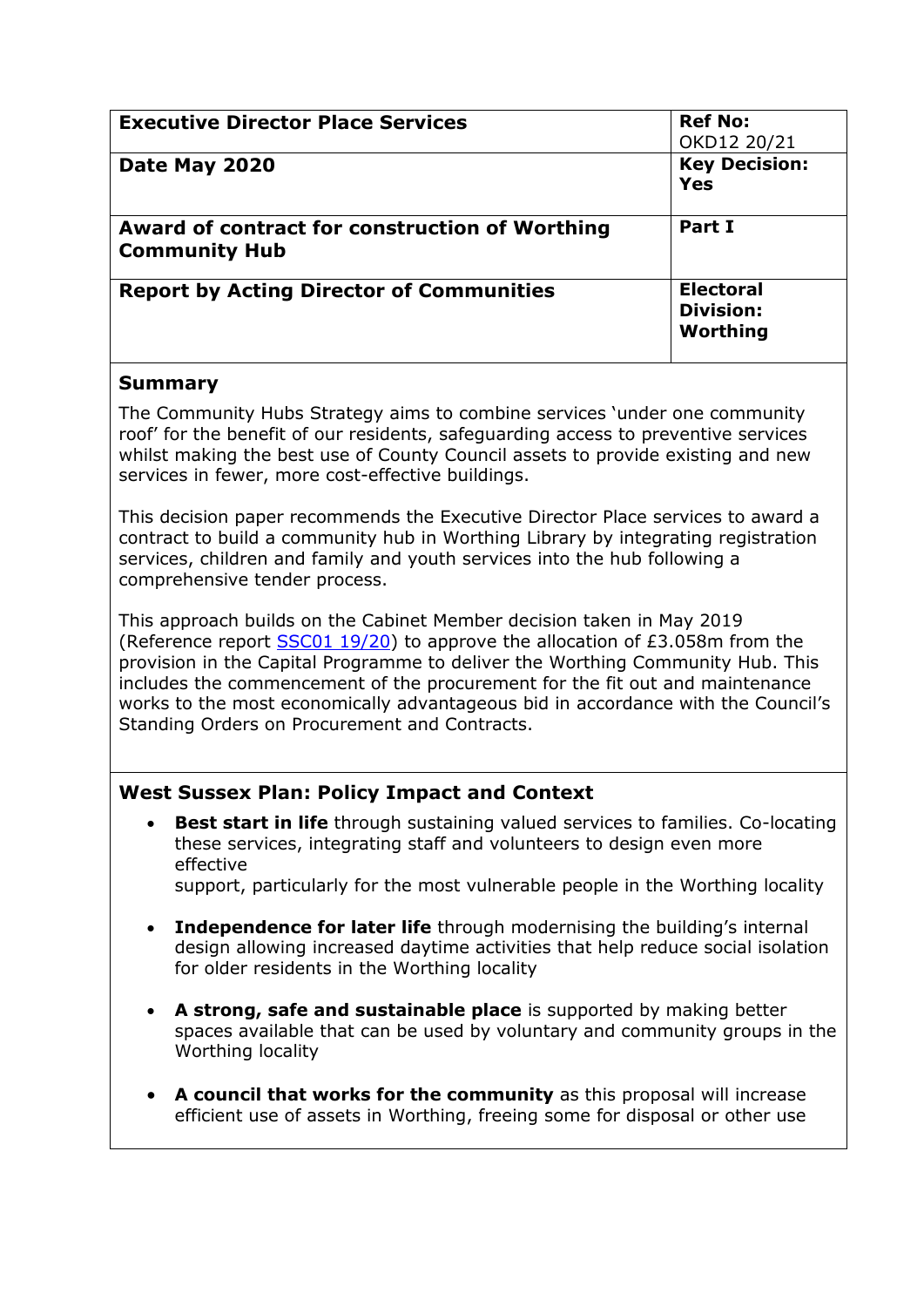| <b>Executive Director Place Services</b>                               | <b>Ref No:</b><br>OKD12 20/21                    |
|------------------------------------------------------------------------|--------------------------------------------------|
| Date May 2020                                                          | <b>Key Decision:</b><br><b>Yes</b>               |
| Award of contract for construction of Worthing<br><b>Community Hub</b> | Part I                                           |
| <b>Report by Acting Director of Communities</b>                        | <b>Electoral</b><br><b>Division:</b><br>Worthing |

## **Summary**

The Community Hubs Strategy aims to combine services 'under one community roof' for the benefit of our residents, safeguarding access to preventive services whilst making the best use of County Council assets to provide existing and new services in fewer, more cost-effective buildings.

This decision paper recommends the Executive Director Place services to award a contract to build a community hub in Worthing Library by integrating registration services, children and family and youth services into the hub following a comprehensive tender process.

This approach builds on the Cabinet Member decision taken in May 2019 (Reference report  $SSC01 19/20$ ) to approve the allocation of £3.058m from the provision in the Capital Programme to deliver the Worthing Community Hub. This includes the commencement of the procurement for the fit out and maintenance works to the most economically advantageous bid in accordance with the Council's Standing Orders on Procurement and Contracts.

# **West Sussex Plan: Policy Impact and Context**

 **Best start in life** through sustaining valued services to families. Co-locating these services, integrating staff and volunteers to design even more effective

support, particularly for the most vulnerable people in the Worthing locality

- **Independence for later life** through modernising the building's internal design allowing increased daytime activities that help reduce social isolation for older residents in the Worthing locality
- **A strong, safe and sustainable place** is supported by making better spaces available that can be used by voluntary and community groups in the Worthing locality
- **A council that works for the community** as this proposal will increase efficient use of assets in Worthing, freeing some for disposal or other use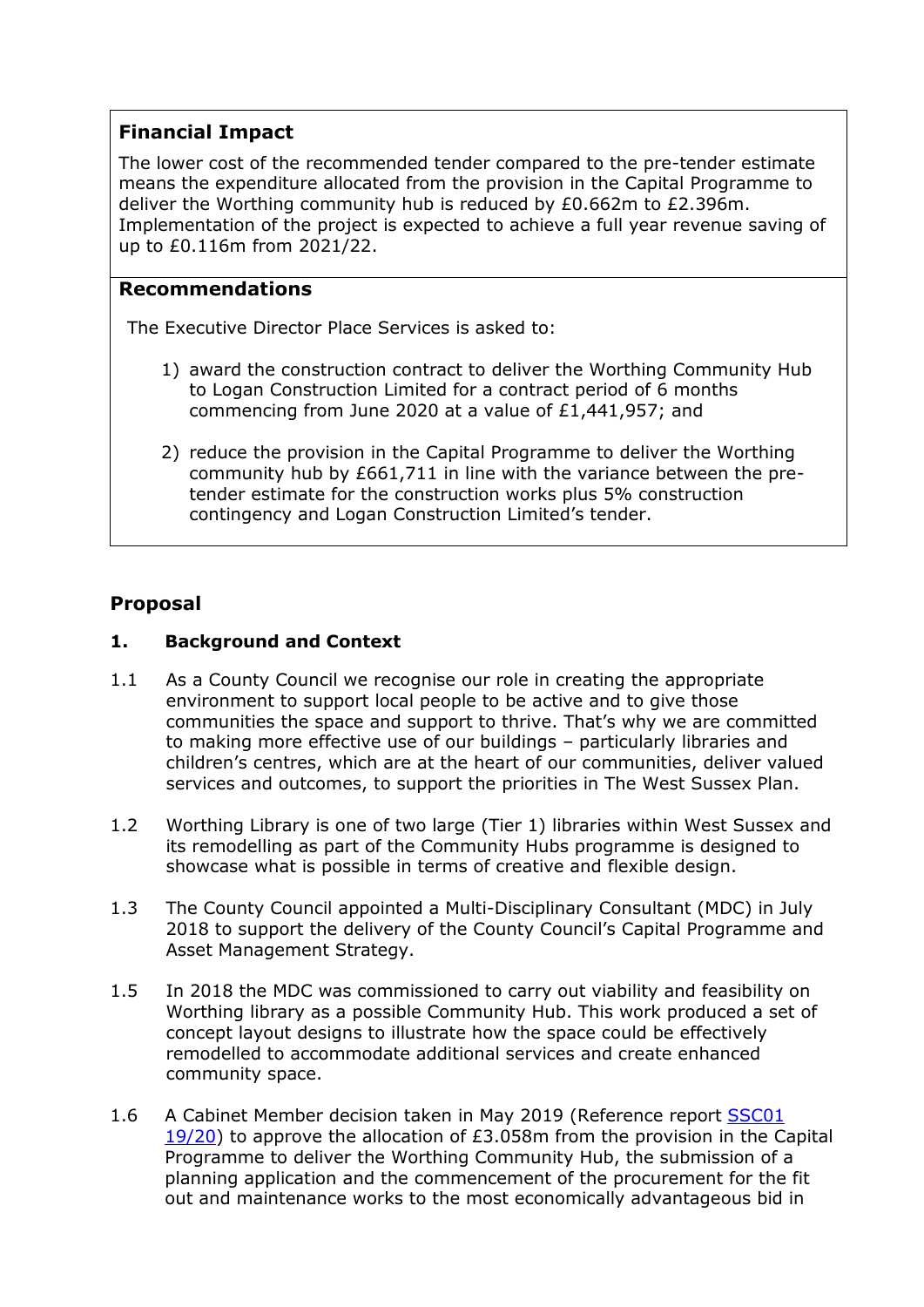# **Financial Impact**

The lower cost of the recommended tender compared to the pre-tender estimate means the expenditure allocated from the provision in the Capital Programme to deliver the Worthing community hub is reduced by £0.662m to £2.396m. Implementation of the project is expected to achieve a full year revenue saving of up to £0.116m from 2021/22.

# **Recommendations**

The Executive Director Place Services is asked to:

- 1) award the construction contract to deliver the Worthing Community Hub to Logan Construction Limited for a contract period of 6 months commencing from June 2020 at a value of £1,441,957; and
- 2) reduce the provision in the Capital Programme to deliver the Worthing community hub by £661,711 in line with the variance between the pretender estimate for the construction works plus 5% construction contingency and Logan Construction Limited's tender.

# **Proposal**

# **1. Background and Context**

- 1.1 As a County Council we recognise our role in creating the appropriate environment to support local people to be active and to give those communities the space and support to thrive. That's why we are committed to making more effective use of our buildings – particularly libraries and children's centres, which are at the heart of our communities, deliver valued services and outcomes, to support the priorities in The West Sussex Plan.
- 1.2 Worthing Library is one of two large (Tier 1) libraries within West Sussex and its remodelling as part of the Community Hubs programme is designed to showcase what is possible in terms of creative and flexible design.
- 1.3 The County Council appointed a Multi-Disciplinary Consultant (MDC) in July 2018 to support the delivery of the County Council's Capital Programme and Asset Management Strategy.
- 1.5 In 2018 the MDC was commissioned to carry out viability and feasibility on Worthing library as a possible Community Hub. This work produced a set of concept layout designs to illustrate how the space could be effectively remodelled to accommodate additional services and create enhanced community space.
- 1.6 A Cabinet Member decision taken in May 2019 (Reference report **SSC01** [19/20\)](https://westsussex.moderngov.co.uk/ieDecisionDetails.aspx?ID=610) to approve the allocation of £3.058m from the provision in the Capital Programme to deliver the Worthing Community Hub, the submission of a planning application and the commencement of the procurement for the fit out and maintenance works to the most economically advantageous bid in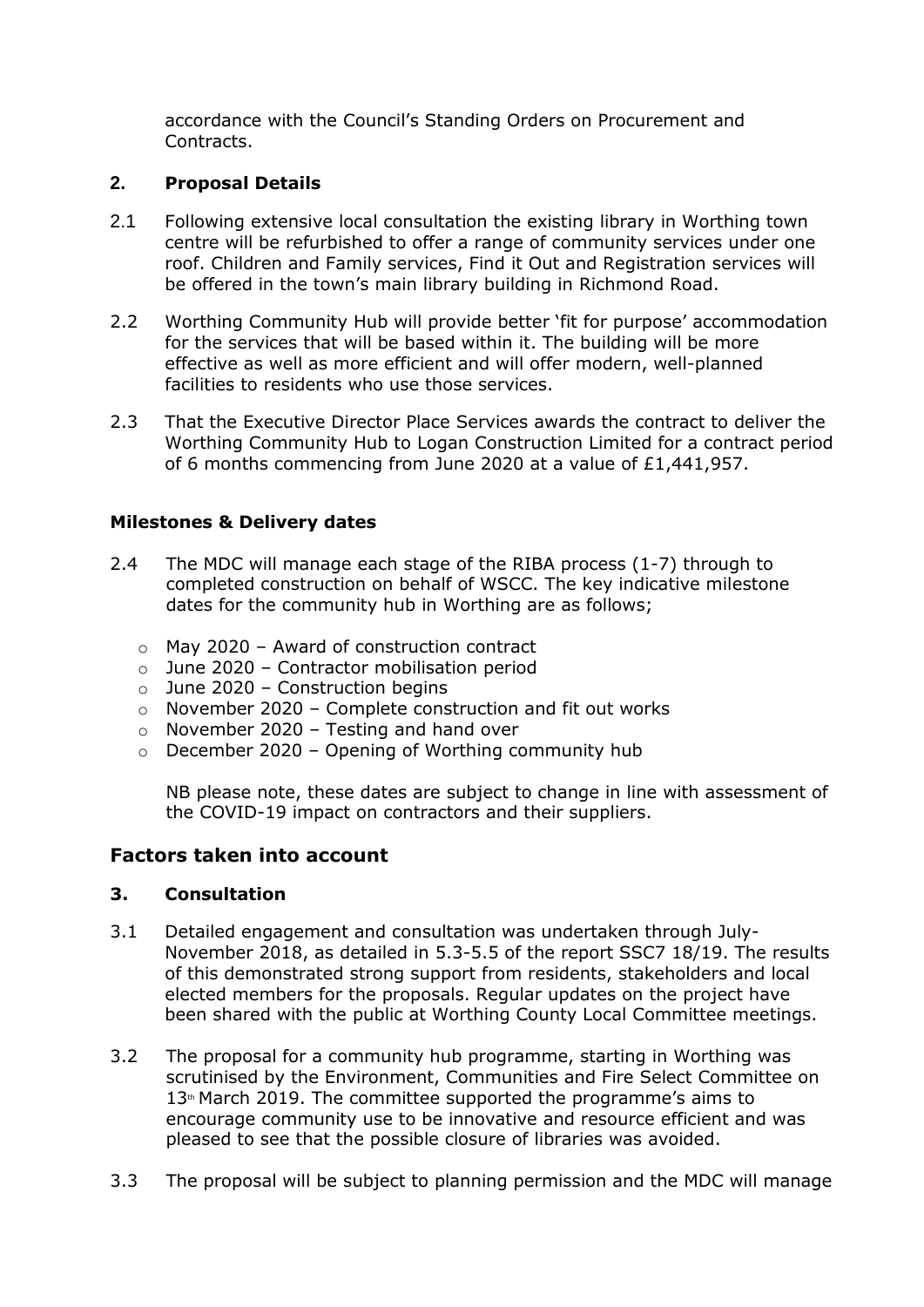accordance with the Council's Standing Orders on Procurement and Contracts.

#### **2. Proposal Details**

- 2.1 Following extensive local consultation the existing library in Worthing town centre will be refurbished to offer a range of community services under one roof. Children and Family services, Find it Out and Registration services will be offered in the town's main library building in Richmond Road.
- 2.2 Worthing Community Hub will provide better 'fit for purpose' accommodation for the services that will be based within it. The building will be more effective as well as more efficient and will offer modern, well-planned facilities to residents who use those services.
- 2.3 That the Executive Director Place Services awards the contract to deliver the Worthing Community Hub to Logan Construction Limited for a contract period of 6 months commencing from June 2020 at a value of £1,441,957.

## **Milestones & Delivery dates**

- 2.4 The MDC will manage each stage of the RIBA process (1-7) through to completed construction on behalf of WSCC. The key indicative milestone dates for the community hub in Worthing are as follows;
	- o May 2020 Award of construction contract
	- o June 2020 Contractor mobilisation period
	- $\circ$  June 2020 Construction begins
	- o November 2020 Complete construction and fit out works
	- o November 2020 Testing and hand over
	- $\circ$  December 2020 Opening of Worthing community hub

NB please note, these dates are subject to change in line with assessment of the COVID-19 impact on contractors and their suppliers.

# **Factors taken into account**

#### **3. Consultation**

- 3.1 Detailed engagement and consultation was undertaken through July-November 2018, as detailed in 5.3-5.5 of the report SSC7 18/19. The results of this demonstrated strong support from residents, stakeholders and local elected members for the proposals. Regular updates on the project have been shared with the public at Worthing County Local Committee meetings.
- 3.2 The proposal for a community hub programme, starting in Worthing was scrutinised by the Environment, Communities and Fire Select Committee on  $13<sup>th</sup>$  March 2019. The committee supported the programme's aims to encourage community use to be innovative and resource efficient and was pleased to see that the possible closure of libraries was avoided.
- 3.3 The proposal will be subject to planning permission and the MDC will manage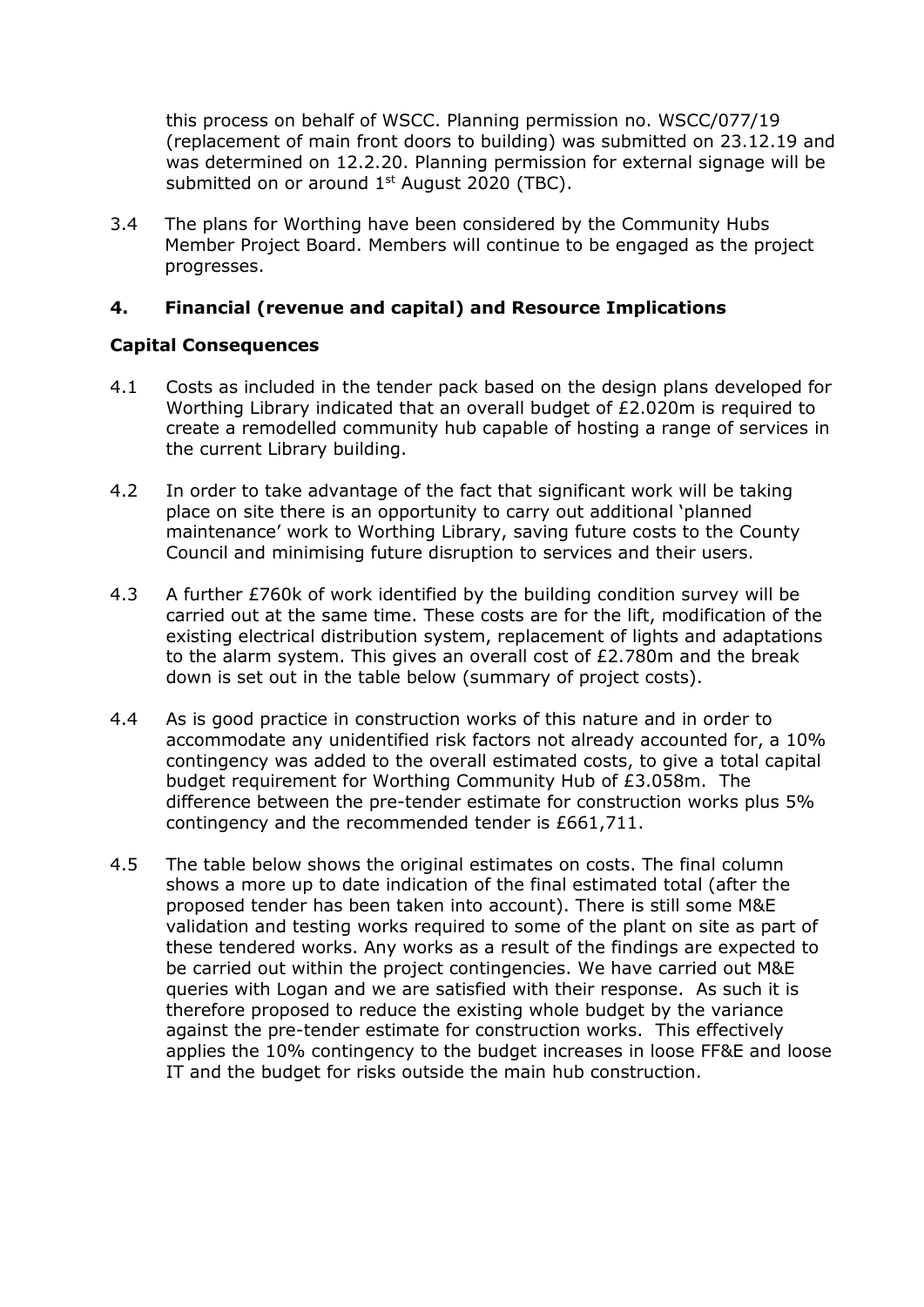this process on behalf of WSCC. Planning permission no. WSCC/077/19 (replacement of main front doors to building) was submitted on 23.12.19 and was determined on 12.2.20. Planning permission for external signage will be submitted on or around 1<sup>st</sup> August 2020 (TBC).

3.4 The plans for Worthing have been considered by the Community Hubs Member Project Board. Members will continue to be engaged as the project progresses.

## **4. Financial (revenue and capital) and Resource Implications**

#### **Capital Consequences**

- 4.1 Costs as included in the tender pack based on the design plans developed for Worthing Library indicated that an overall budget of £2.020m is required to create a remodelled community hub capable of hosting a range of services in the current Library building.
- 4.2 In order to take advantage of the fact that significant work will be taking place on site there is an opportunity to carry out additional 'planned maintenance' work to Worthing Library, saving future costs to the County Council and minimising future disruption to services and their users.
- 4.3 A further £760k of work identified by the building condition survey will be carried out at the same time. These costs are for the lift, modification of the existing electrical distribution system, replacement of lights and adaptations to the alarm system. This gives an overall cost of £2.780m and the break down is set out in the table below (summary of project costs).
- 4.4 As is good practice in construction works of this nature and in order to accommodate any unidentified risk factors not already accounted for, a 10% contingency was added to the overall estimated costs, to give a total capital budget requirement for Worthing Community Hub of £3.058m. The difference between the pre-tender estimate for construction works plus 5% contingency and the recommended tender is £661,711.
- 4.5 The table below shows the original estimates on costs. The final column shows a more up to date indication of the final estimated total (after the proposed tender has been taken into account). There is still some M&E validation and testing works required to some of the plant on site as part of these tendered works. Any works as a result of the findings are expected to be carried out within the project contingencies. We have carried out M&E queries with Logan and we are satisfied with their response. As such it is therefore proposed to reduce the existing whole budget by the variance against the pre-tender estimate for construction works. This effectively applies the 10% contingency to the budget increases in loose FF&E and loose IT and the budget for risks outside the main hub construction.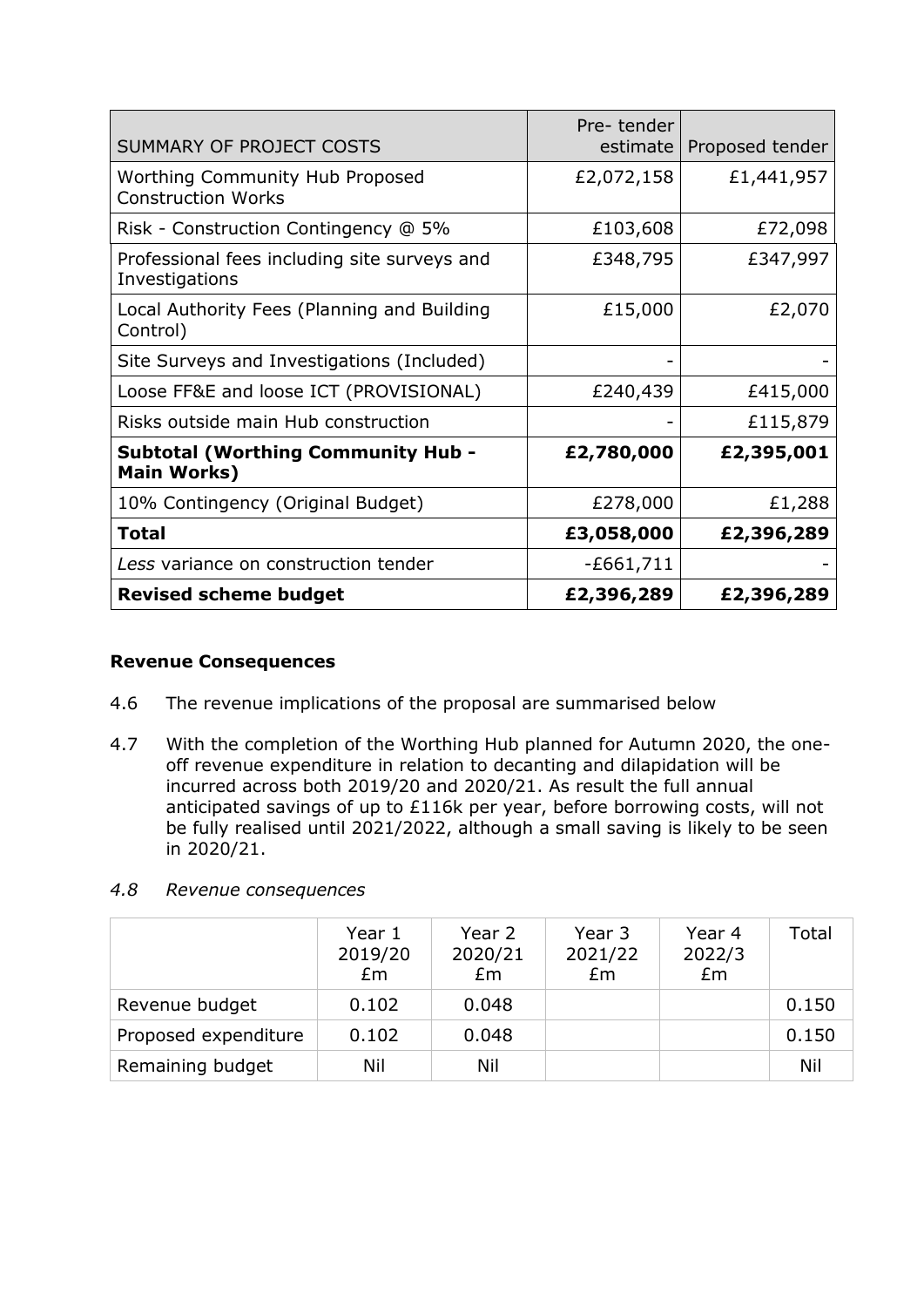| SUMMARY OF PROJECT COSTS                                            | Pre-tender<br>estimate | Proposed tender |
|---------------------------------------------------------------------|------------------------|-----------------|
| <b>Worthing Community Hub Proposed</b><br><b>Construction Works</b> | £2,072,158             | £1,441,957      |
| Risk - Construction Contingency @ 5%                                | £103,608               | £72,098         |
| Professional fees including site surveys and<br>Investigations      | £348,795               | £347,997        |
| Local Authority Fees (Planning and Building<br>Control)             | £15,000                | £2,070          |
| Site Surveys and Investigations (Included)                          |                        |                 |
| Loose FF&E and loose ICT (PROVISIONAL)                              | £240,439               | £415,000        |
| Risks outside main Hub construction                                 |                        | £115,879        |
| <b>Subtotal (Worthing Community Hub -</b><br><b>Main Works)</b>     | £2,780,000             | £2,395,001      |
| 10% Contingency (Original Budget)                                   | £278,000               | £1,288          |
| <b>Total</b>                                                        | £3,058,000             | £2,396,289      |
| Less variance on construction tender                                | $-E661,711$            |                 |
| <b>Revised scheme budget</b>                                        | £2,396,289             | £2,396,289      |

## **Revenue Consequences**

- 4.6 The revenue implications of the proposal are summarised below
- 4.7 With the completion of the Worthing Hub planned for Autumn 2020, the oneoff revenue expenditure in relation to decanting and dilapidation will be incurred across both 2019/20 and 2020/21. As result the full annual anticipated savings of up to £116k per year, before borrowing costs, will not be fully realised until 2021/2022, although a small saving is likely to be seen in 2020/21.

*4.8 Revenue consequences*

|                      | Year 1<br>2019/20<br>£m | Year 2<br>2020/21<br>£m | Year 3<br>2021/22<br>Em | Year 4<br>2022/3<br>Em | Total |
|----------------------|-------------------------|-------------------------|-------------------------|------------------------|-------|
| Revenue budget       | 0.102                   | 0.048                   |                         |                        | 0.150 |
| Proposed expenditure | 0.102                   | 0.048                   |                         |                        | 0.150 |
| Remaining budget     | Nil                     | Nil                     |                         |                        | Nil   |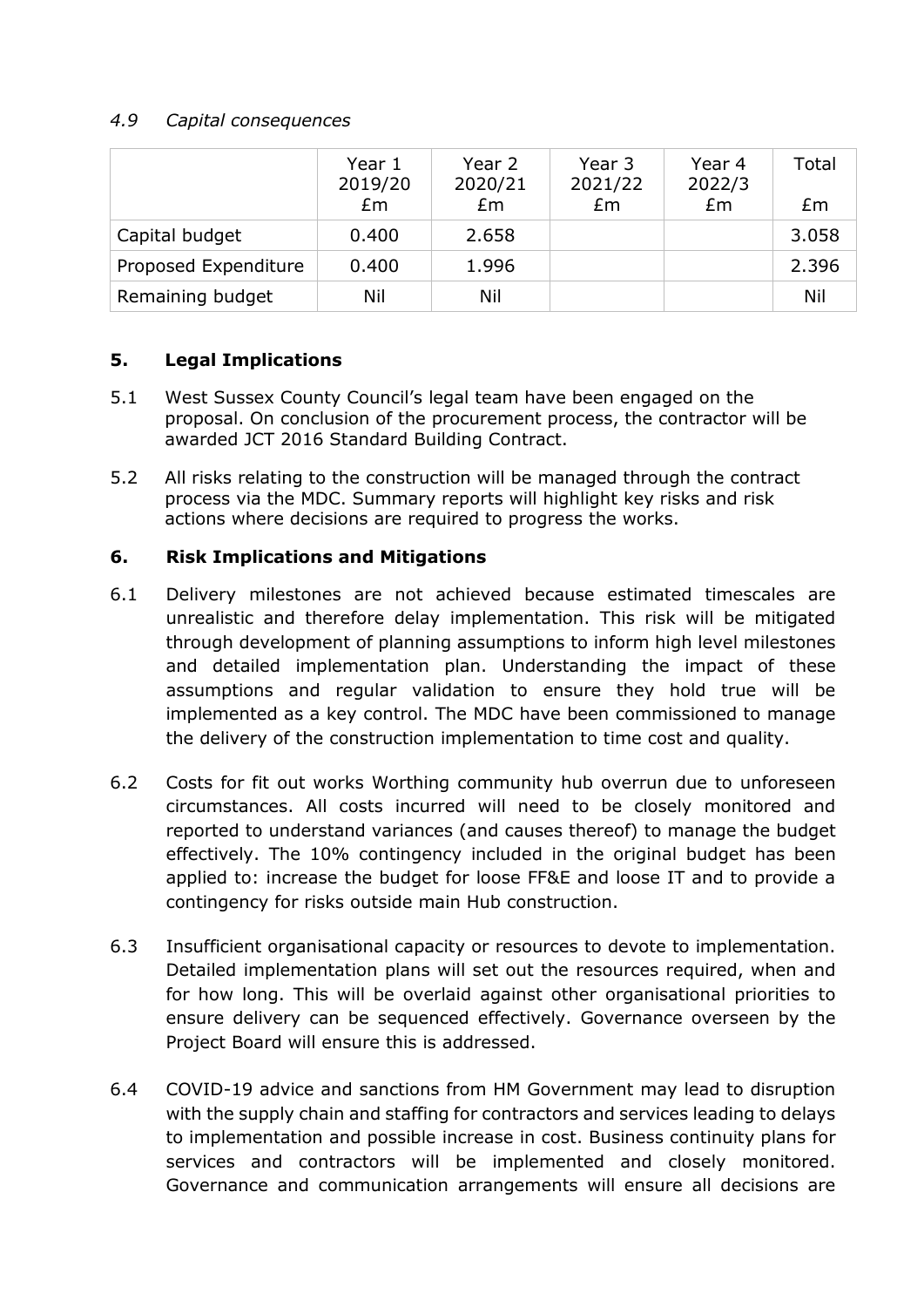## *4.9 Capital consequences*

|                      | Year 1<br>2019/20<br>Em | Year 2<br>2020/21<br>Em | Year 3<br>2021/22<br>Em | Year 4<br>2022/3<br>Em | Total<br>£m |
|----------------------|-------------------------|-------------------------|-------------------------|------------------------|-------------|
| Capital budget       | 0.400                   | 2.658                   |                         |                        | 3.058       |
| Proposed Expenditure | 0.400                   | 1.996                   |                         |                        | 2.396       |
| Remaining budget     | Nil                     | Nil                     |                         |                        | Nil         |

# **5. Legal Implications**

- 5.1 West Sussex County Council's legal team have been engaged on the proposal. On conclusion of the procurement process, the contractor will be awarded JCT 2016 Standard Building Contract.
- 5.2 All risks relating to the construction will be managed through the contract process via the MDC. Summary reports will highlight key risks and risk actions where decisions are required to progress the works.

## **6. Risk Implications and Mitigations**

- 6.1 Delivery milestones are not achieved because estimated timescales are unrealistic and therefore delay implementation. This risk will be mitigated through development of planning assumptions to inform high level milestones and detailed implementation plan. Understanding the impact of these assumptions and regular validation to ensure they hold true will be implemented as a key control. The MDC have been commissioned to manage the delivery of the construction implementation to time cost and quality.
- 6.2 Costs for fit out works Worthing community hub overrun due to unforeseen circumstances. All costs incurred will need to be closely monitored and reported to understand variances (and causes thereof) to manage the budget effectively. The 10% contingency included in the original budget has been applied to: increase the budget for loose FF&E and loose IT and to provide a contingency for risks outside main Hub construction.
- 6.3 Insufficient organisational capacity or resources to devote to implementation. Detailed implementation plans will set out the resources required, when and for how long. This will be overlaid against other organisational priorities to ensure delivery can be sequenced effectively. Governance overseen by the Project Board will ensure this is addressed.
- 6.4 COVID-19 advice and sanctions from HM Government may lead to disruption with the supply chain and staffing for contractors and services leading to delays to implementation and possible increase in cost. Business continuity plans for services and contractors will be implemented and closely monitored. Governance and communication arrangements will ensure all decisions are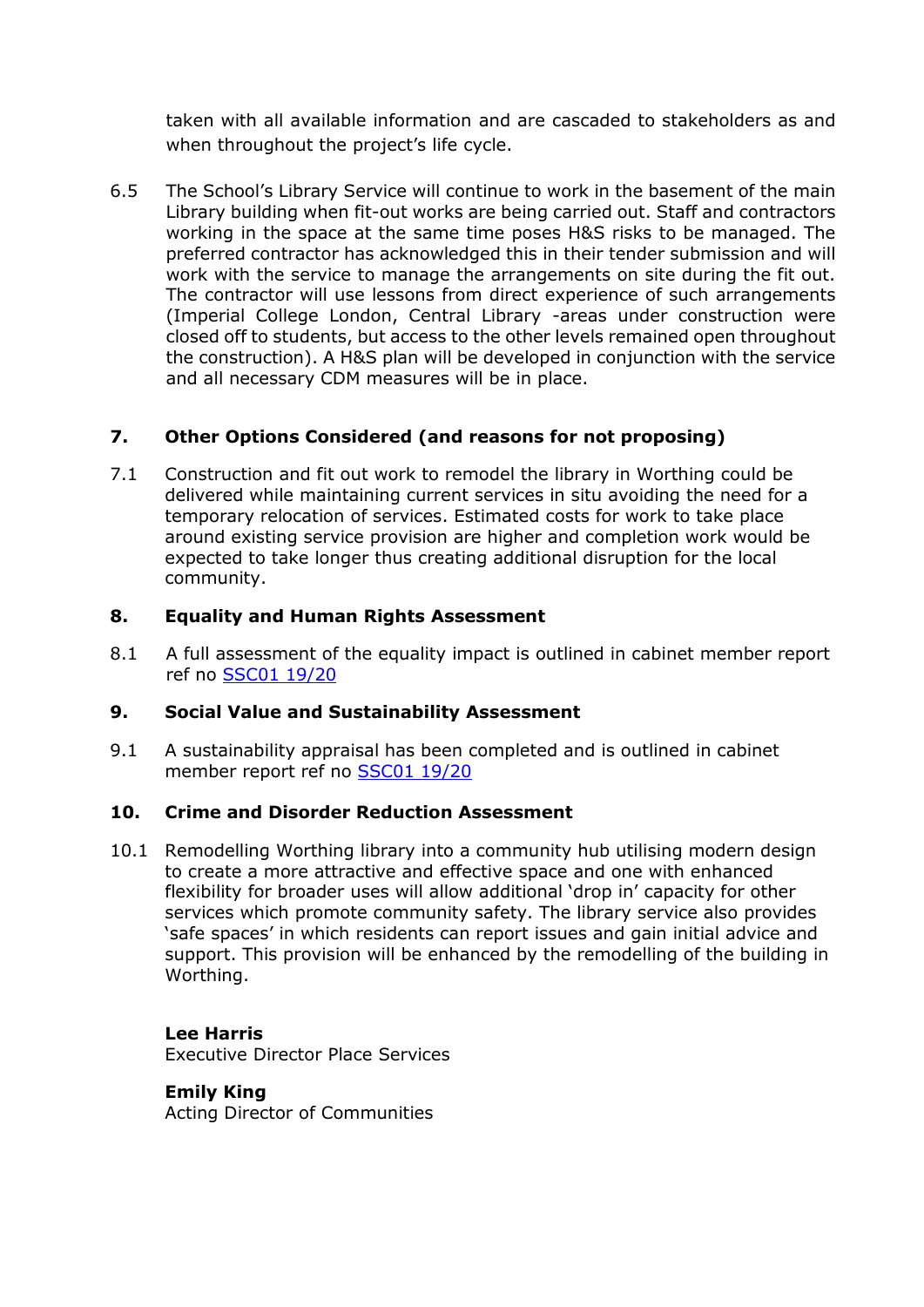taken with all available information and are cascaded to stakeholders as and when throughout the project's life cycle.

6.5 The School's Library Service will continue to work in the basement of the main Library building when fit-out works are being carried out. Staff and contractors working in the space at the same time poses H&S risks to be managed. The preferred contractor has acknowledged this in their tender submission and will work with the service to manage the arrangements on site during the fit out. The contractor will use lessons from direct experience of such arrangements (Imperial College London, Central Library -areas under construction were closed off to students, but access to the other levels remained open throughout the construction). A H&S plan will be developed in conjunction with the service and all necessary CDM measures will be in place.

# **7. Other Options Considered (and reasons for not proposing)**

7.1 Construction and fit out work to remodel the library in Worthing could be delivered while maintaining current services in situ avoiding the need for a temporary relocation of services. Estimated costs for work to take place around existing service provision are higher and completion work would be expected to take longer thus creating additional disruption for the local community.

# **8. Equality and Human Rights Assessment**

8.1 A full assessment of the equality impact is outlined in cabinet member report ref no [SSC01 19/20](https://westsussex.moderngov.co.uk/ieDecisionDetails.aspx?ID=610)

# **9. Social Value and Sustainability Assessment**

9.1 A sustainability appraisal has been completed and is outlined in cabinet member report ref no [SSC01 19/20](https://westsussex.moderngov.co.uk/ieDecisionDetails.aspx?ID=610)

#### **10. Crime and Disorder Reduction Assessment**

10.1 Remodelling Worthing library into a community hub utilising modern design to create a more attractive and effective space and one with enhanced flexibility for broader uses will allow additional 'drop in' capacity for other services which promote community safety. The library service also provides 'safe spaces' in which residents can report issues and gain initial advice and support. This provision will be enhanced by the remodelling of the building in Worthing.

#### **Lee Harris**

Executive Director Place Services

#### **Emily King**

Acting Director of Communities